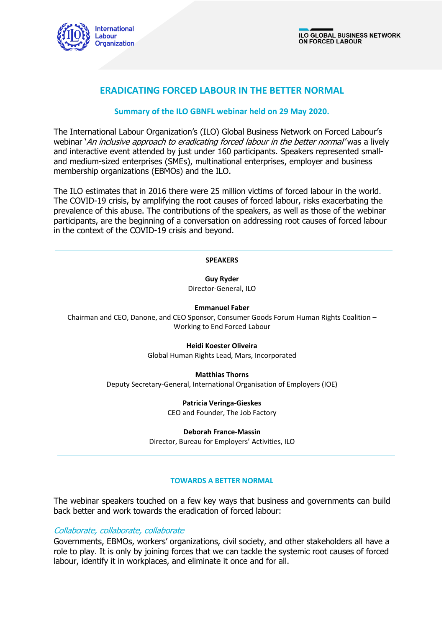

# **ERADICATING FORCED LABOUR IN THE BETTER NORMAL**

## **Summary of the ILO GBNFL webinar held on 29 May 2020.**

The International Labour Organization's (ILO) Global Business Network on Forced Labour's webinar 'An inclusive approach to eradicating forced labour in the better normal' was a lively and interactive event attended by just under 160 participants. Speakers represented smalland medium-sized enterprises (SMEs), multinational enterprises, employer and business membership organizations (EBMOs) and the ILO.

The ILO estimates that in 2016 there were 25 million victims of forced labour in the world. The COVID-19 crisis, by amplifying the root causes of forced labour, risks exacerbating the prevalence of this abuse. The contributions of the speakers, as well as those of the webinar participants, are the beginning of a conversation on addressing root causes of forced labour in the context of the COVID-19 crisis and beyond.

#### **SPEAKERS**

**Guy Ryder** Director-General, ILO

**Emmanuel Faber**

Chairman and CEO, Danone, and CEO Sponsor, Consumer Goods Forum Human Rights Coalition – Working to End Forced Labour

### **Heidi Koester Oliveira**

Global Human Rights Lead, Mars, Incorporated

**Matthias Thorns**

Deputy Secretary-General, International Organisation of Employers (IOE)

**Patricia Veringa-Gieskes**

CEO and Founder, The Job Factory

**Deborah France-Massin**

Director, Bureau for Employers' Activities, ILO

### **TOWARDS A BETTER NORMAL**

The webinar speakers touched on a few key ways that business and governments can build back better and work towards the eradication of forced labour:

## Collaborate, collaborate, collaborate

Governments, EBMOs, workers' organizations, civil society, and other stakeholders all have a role to play. It is only by joining forces that we can tackle the systemic root causes of forced labour, identify it in workplaces, and eliminate it once and for all.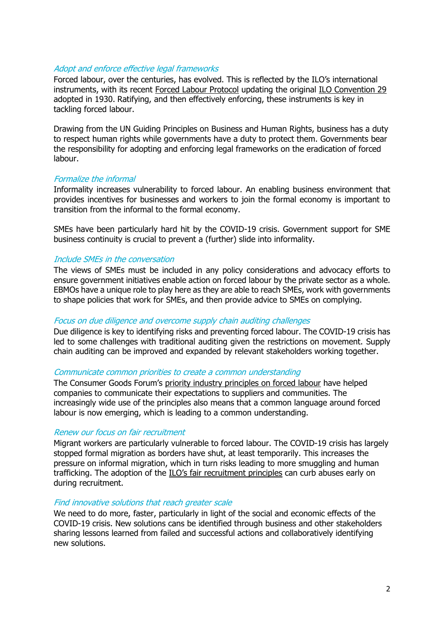## Adopt and enforce effective legal frameworks

Forced labour, over the centuries, has evolved. This is reflected by the ILO's international instruments, with its recent [Forced Labour Protocol](https://www.ilo.org/dyn/normlex/en/f?p=NORMLEXPUB:12100:0::NO::P12100_ILO_CODE:P029) updating the original [ILO Convention 29](https://www.ilo.org/dyn/normlex/en/f?p=NORMLEXPUB:12100:0::NO::P12100_ILO_CODE:C029) adopted in 1930. Ratifying, and then effectively enforcing, these instruments is key in tackling forced labour.

Drawing from the UN Guiding Principles on Business and Human Rights, business has a duty to respect human rights while governments have a duty to protect them. Governments bear the responsibility for adopting and enforcing legal frameworks on the eradication of forced labour.

## Formalize the informal

Informality increases vulnerability to forced labour. An enabling business environment that provides incentives for businesses and workers to join the formal economy is important to transition from the informal to the formal economy.

SMEs have been particularly hard hit by the COVID-19 crisis. Government support for SME business continuity is crucial to prevent a (further) slide into informality.

## Include SMEs in the conversation

The views of SMEs must be included in any policy considerations and advocacy efforts to ensure government initiatives enable action on forced labour by the private sector as a whole. EBMOs have a unique role to play here as they are able to reach SMEs, work with governments to shape policies that work for SMEs, and then provide advice to SMEs on complying.

### Focus on due diligence and overcome supply chain auditing challenges

Due diligence is key to identifying risks and preventing forced labour. The COVID-19 crisis has led to some challenges with traditional auditing given the restrictions on movement. Supply chain auditing can be improved and expanded by relevant stakeholders working together.

### Communicate common priorities to create a common understanding

The Consumer Goods Forum's [priority industry principles on forced labour](https://www.theconsumergoodsforum.com/wp-content/uploads/2018/05/Guidance-on-the-Priority-Industry-Principles.pdf) have helped companies to communicate their expectations to suppliers and communities. The increasingly wide use of the principles also means that a common language around forced labour is now emerging, which is leading to a common understanding.

### Renew our focus on fair recruitment

Migrant workers are particularly vulnerable to forced labour. The COVID-19 crisis has largely stopped formal migration as borders have shut, at least temporarily. This increases the pressure on informal migration, which in turn risks leading to more smuggling and human trafficking. The adoption of the [ILO's fair recruitment principles](https://www.ilo.org/global/topics/fair-recruitment/lang--en/index.htm) can curb abuses early on during recruitment.

### Find innovative solutions that reach greater scale

We need to do more, faster, particularly in light of the social and economic effects of the COVID-19 crisis. New solutions cans be identified through business and other stakeholders sharing lessons learned from failed and successful actions and collaboratively identifying new solutions.